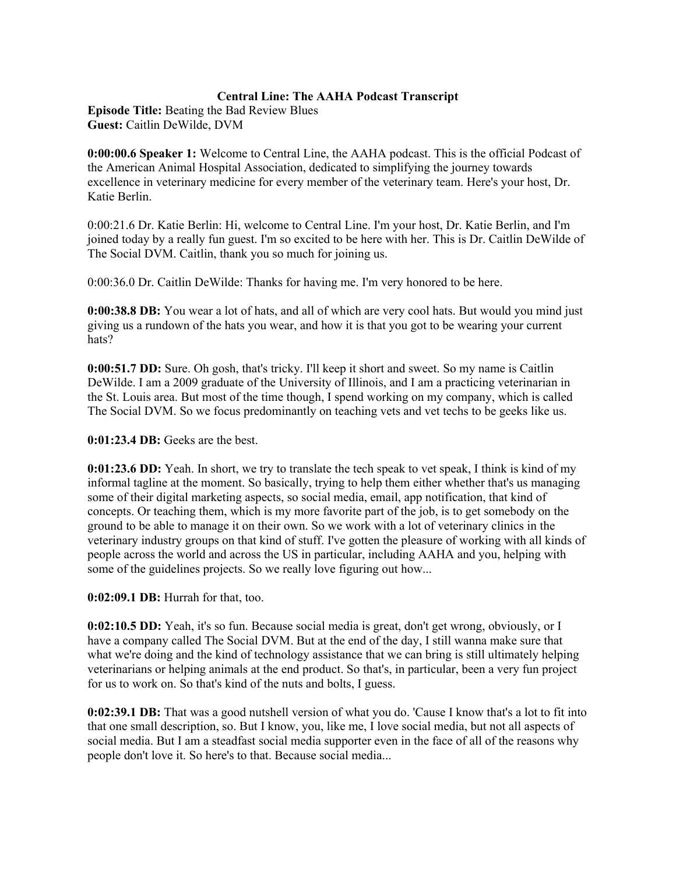## **Central Line: The AAHA Podcast Transcript**

**Episode Title:** Beating the Bad Review Blues **Guest:** Caitlin DeWilde, DVM

**0:00:00.6 Speaker 1:** Welcome to Central Line, the AAHA podcast. This is the official Podcast of the American Animal Hospital Association, dedicated to simplifying the journey towards excellence in veterinary medicine for every member of the veterinary team. Here's your host, Dr. Katie Berlin.

0:00:21.6 Dr. Katie Berlin: Hi, welcome to Central Line. I'm your host, Dr. Katie Berlin, and I'm joined today by a really fun guest. I'm so excited to be here with her. This is Dr. Caitlin DeWilde of The Social DVM. Caitlin, thank you so much for joining us.

0:00:36.0 Dr. Caitlin DeWilde: Thanks for having me. I'm very honored to be here.

**0:00:38.8 DB:** You wear a lot of hats, and all of which are very cool hats. But would you mind just giving us a rundown of the hats you wear, and how it is that you got to be wearing your current hats?

**0:00:51.7 DD:** Sure. Oh gosh, that's tricky. I'll keep it short and sweet. So my name is Caitlin DeWilde. I am a 2009 graduate of the University of Illinois, and I am a practicing veterinarian in the St. Louis area. But most of the time though, I spend working on my company, which is called The Social DVM. So we focus predominantly on teaching vets and vet techs to be geeks like us.

**0:01:23.4 DB:** Geeks are the best.

**0:01:23.6 DD:** Yeah. In short, we try to translate the tech speak to vet speak, I think is kind of my informal tagline at the moment. So basically, trying to help them either whether that's us managing some of their digital marketing aspects, so social media, email, app notification, that kind of concepts. Or teaching them, which is my more favorite part of the job, is to get somebody on the ground to be able to manage it on their own. So we work with a lot of veterinary clinics in the veterinary industry groups on that kind of stuff. I've gotten the pleasure of working with all kinds of people across the world and across the US in particular, including AAHA and you, helping with some of the guidelines projects. So we really love figuring out how...

**0:02:09.1 DB:** Hurrah for that, too.

**0:02:10.5 DD:** Yeah, it's so fun. Because social media is great, don't get wrong, obviously, or I have a company called The Social DVM. But at the end of the day, I still wanna make sure that what we're doing and the kind of technology assistance that we can bring is still ultimately helping veterinarians or helping animals at the end product. So that's, in particular, been a very fun project for us to work on. So that's kind of the nuts and bolts, I guess.

**0:02:39.1 DB:** That was a good nutshell version of what you do. 'Cause I know that's a lot to fit into that one small description, so. But I know, you, like me, I love social media, but not all aspects of social media. But I am a steadfast social media supporter even in the face of all of the reasons why people don't love it. So here's to that. Because social media...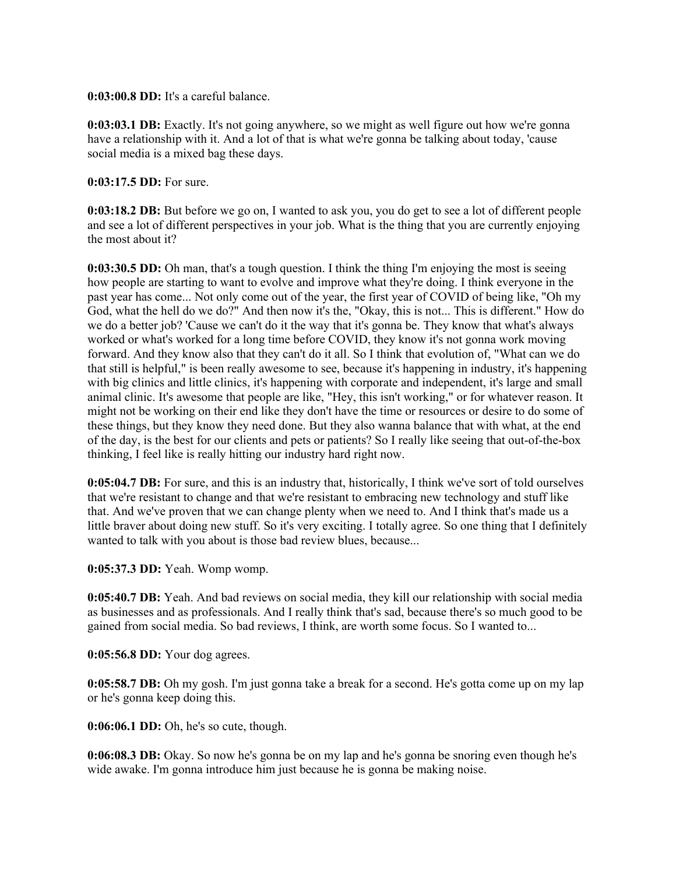**0:03:00.8 DD:** It's a careful balance.

**0:03:03.1 DB:** Exactly. It's not going anywhere, so we might as well figure out how we're gonna have a relationship with it. And a lot of that is what we're gonna be talking about today, 'cause social media is a mixed bag these days.

**0:03:17.5 DD:** For sure.

**0:03:18.2 DB:** But before we go on, I wanted to ask you, you do get to see a lot of different people and see a lot of different perspectives in your job. What is the thing that you are currently enjoying the most about it?

**0:03:30.5 DD:** Oh man, that's a tough question. I think the thing I'm enjoying the most is seeing how people are starting to want to evolve and improve what they're doing. I think everyone in the past year has come... Not only come out of the year, the first year of COVID of being like, "Oh my God, what the hell do we do?" And then now it's the, "Okay, this is not... This is different." How do we do a better job? 'Cause we can't do it the way that it's gonna be. They know that what's always worked or what's worked for a long time before COVID, they know it's not gonna work moving forward. And they know also that they can't do it all. So I think that evolution of, "What can we do that still is helpful," is been really awesome to see, because it's happening in industry, it's happening with big clinics and little clinics, it's happening with corporate and independent, it's large and small animal clinic. It's awesome that people are like, "Hey, this isn't working," or for whatever reason. It might not be working on their end like they don't have the time or resources or desire to do some of these things, but they know they need done. But they also wanna balance that with what, at the end of the day, is the best for our clients and pets or patients? So I really like seeing that out-of-the-box thinking, I feel like is really hitting our industry hard right now.

**0:05:04.7 DB:** For sure, and this is an industry that, historically, I think we've sort of told ourselves that we're resistant to change and that we're resistant to embracing new technology and stuff like that. And we've proven that we can change plenty when we need to. And I think that's made us a little braver about doing new stuff. So it's very exciting. I totally agree. So one thing that I definitely wanted to talk with you about is those bad review blues, because...

**0:05:37.3 DD:** Yeah. Womp womp.

**0:05:40.7 DB:** Yeah. And bad reviews on social media, they kill our relationship with social media as businesses and as professionals. And I really think that's sad, because there's so much good to be gained from social media. So bad reviews, I think, are worth some focus. So I wanted to...

**0:05:56.8 DD:** Your dog agrees.

**0:05:58.7 DB:** Oh my gosh. I'm just gonna take a break for a second. He's gotta come up on my lap or he's gonna keep doing this.

**0:06:06.1 DD:** Oh, he's so cute, though.

**0:06:08.3 DB:** Okay. So now he's gonna be on my lap and he's gonna be snoring even though he's wide awake. I'm gonna introduce him just because he is gonna be making noise.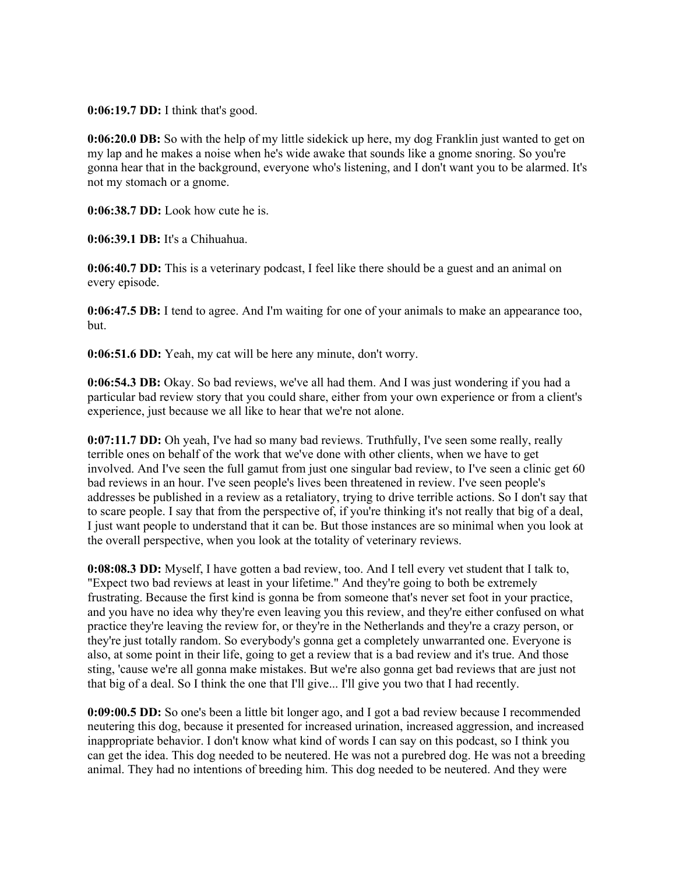**0:06:19.7 DD:** I think that's good.

**0:06:20.0 DB:** So with the help of my little sidekick up here, my dog Franklin just wanted to get on my lap and he makes a noise when he's wide awake that sounds like a gnome snoring. So you're gonna hear that in the background, everyone who's listening, and I don't want you to be alarmed. It's not my stomach or a gnome.

**0:06:38.7 DD:** Look how cute he is.

**0:06:39.1 DB:** It's a Chihuahua.

**0:06:40.7 DD:** This is a veterinary podcast, I feel like there should be a guest and an animal on every episode.

**0:06:47.5 DB:** I tend to agree. And I'm waiting for one of your animals to make an appearance too, but.

**0:06:51.6 DD:** Yeah, my cat will be here any minute, don't worry.

**0:06:54.3 DB:** Okay. So bad reviews, we've all had them. And I was just wondering if you had a particular bad review story that you could share, either from your own experience or from a client's experience, just because we all like to hear that we're not alone.

**0:07:11.7 DD:** Oh yeah, I've had so many bad reviews. Truthfully, I've seen some really, really terrible ones on behalf of the work that we've done with other clients, when we have to get involved. And I've seen the full gamut from just one singular bad review, to I've seen a clinic get 60 bad reviews in an hour. I've seen people's lives been threatened in review. I've seen people's addresses be published in a review as a retaliatory, trying to drive terrible actions. So I don't say that to scare people. I say that from the perspective of, if you're thinking it's not really that big of a deal, I just want people to understand that it can be. But those instances are so minimal when you look at the overall perspective, when you look at the totality of veterinary reviews.

**0:08:08.3 DD:** Myself, I have gotten a bad review, too. And I tell every vet student that I talk to, "Expect two bad reviews at least in your lifetime." And they're going to both be extremely frustrating. Because the first kind is gonna be from someone that's never set foot in your practice, and you have no idea why they're even leaving you this review, and they're either confused on what practice they're leaving the review for, or they're in the Netherlands and they're a crazy person, or they're just totally random. So everybody's gonna get a completely unwarranted one. Everyone is also, at some point in their life, going to get a review that is a bad review and it's true. And those sting, 'cause we're all gonna make mistakes. But we're also gonna get bad reviews that are just not that big of a deal. So I think the one that I'll give... I'll give you two that I had recently.

**0:09:00.5 DD:** So one's been a little bit longer ago, and I got a bad review because I recommended neutering this dog, because it presented for increased urination, increased aggression, and increased inappropriate behavior. I don't know what kind of words I can say on this podcast, so I think you can get the idea. This dog needed to be neutered. He was not a purebred dog. He was not a breeding animal. They had no intentions of breeding him. This dog needed to be neutered. And they were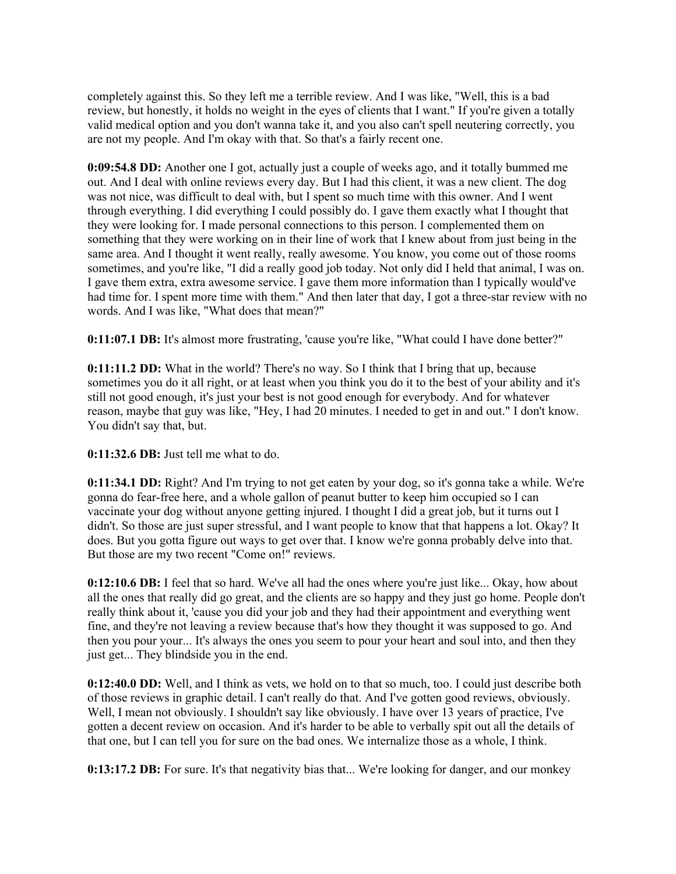completely against this. So they left me a terrible review. And I was like, "Well, this is a bad review, but honestly, it holds no weight in the eyes of clients that I want." If you're given a totally valid medical option and you don't wanna take it, and you also can't spell neutering correctly, you are not my people. And I'm okay with that. So that's a fairly recent one.

**0:09:54.8 DD:** Another one I got, actually just a couple of weeks ago, and it totally bummed me out. And I deal with online reviews every day. But I had this client, it was a new client. The dog was not nice, was difficult to deal with, but I spent so much time with this owner. And I went through everything. I did everything I could possibly do. I gave them exactly what I thought that they were looking for. I made personal connections to this person. I complemented them on something that they were working on in their line of work that I knew about from just being in the same area. And I thought it went really, really awesome. You know, you come out of those rooms sometimes, and you're like, "I did a really good job today. Not only did I held that animal, I was on. I gave them extra, extra awesome service. I gave them more information than I typically would've had time for. I spent more time with them." And then later that day, I got a three-star review with no words. And I was like, "What does that mean?"

**0:11:07.1 DB:** It's almost more frustrating, 'cause you're like, "What could I have done better?"

**0:11:11.2 DD:** What in the world? There's no way. So I think that I bring that up, because sometimes you do it all right, or at least when you think you do it to the best of your ability and it's still not good enough, it's just your best is not good enough for everybody. And for whatever reason, maybe that guy was like, "Hey, I had 20 minutes. I needed to get in and out." I don't know. You didn't say that, but.

**0:11:32.6 DB:** Just tell me what to do.

**0:11:34.1 DD:** Right? And I'm trying to not get eaten by your dog, so it's gonna take a while. We're gonna do fear-free here, and a whole gallon of peanut butter to keep him occupied so I can vaccinate your dog without anyone getting injured. I thought I did a great job, but it turns out I didn't. So those are just super stressful, and I want people to know that that happens a lot. Okay? It does. But you gotta figure out ways to get over that. I know we're gonna probably delve into that. But those are my two recent "Come on!" reviews.

**0:12:10.6 DB:** I feel that so hard. We've all had the ones where you're just like... Okay, how about all the ones that really did go great, and the clients are so happy and they just go home. People don't really think about it, 'cause you did your job and they had their appointment and everything went fine, and they're not leaving a review because that's how they thought it was supposed to go. And then you pour your... It's always the ones you seem to pour your heart and soul into, and then they just get... They blindside you in the end.

**0:12:40.0 DD:** Well, and I think as vets, we hold on to that so much, too. I could just describe both of those reviews in graphic detail. I can't really do that. And I've gotten good reviews, obviously. Well, I mean not obviously. I shouldn't say like obviously. I have over 13 years of practice, I've gotten a decent review on occasion. And it's harder to be able to verbally spit out all the details of that one, but I can tell you for sure on the bad ones. We internalize those as a whole, I think.

**0:13:17.2 DB:** For sure. It's that negativity bias that... We're looking for danger, and our monkey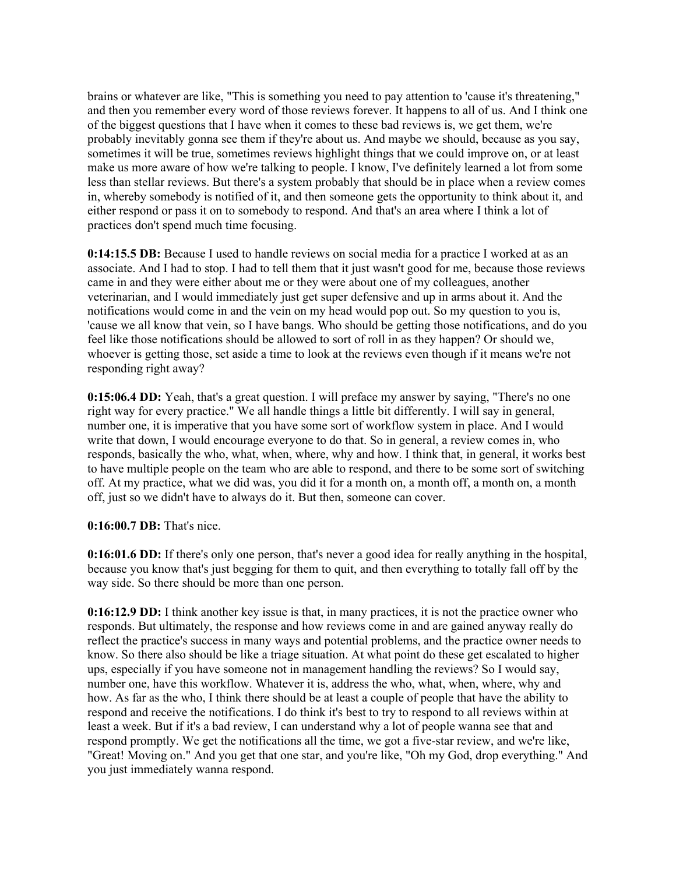brains or whatever are like, "This is something you need to pay attention to 'cause it's threatening," and then you remember every word of those reviews forever. It happens to all of us. And I think one of the biggest questions that I have when it comes to these bad reviews is, we get them, we're probably inevitably gonna see them if they're about us. And maybe we should, because as you say, sometimes it will be true, sometimes reviews highlight things that we could improve on, or at least make us more aware of how we're talking to people. I know, I've definitely learned a lot from some less than stellar reviews. But there's a system probably that should be in place when a review comes in, whereby somebody is notified of it, and then someone gets the opportunity to think about it, and either respond or pass it on to somebody to respond. And that's an area where I think a lot of practices don't spend much time focusing.

**0:14:15.5 DB:** Because I used to handle reviews on social media for a practice I worked at as an associate. And I had to stop. I had to tell them that it just wasn't good for me, because those reviews came in and they were either about me or they were about one of my colleagues, another veterinarian, and I would immediately just get super defensive and up in arms about it. And the notifications would come in and the vein on my head would pop out. So my question to you is, 'cause we all know that vein, so I have bangs. Who should be getting those notifications, and do you feel like those notifications should be allowed to sort of roll in as they happen? Or should we, whoever is getting those, set aside a time to look at the reviews even though if it means we're not responding right away?

**0:15:06.4 DD:** Yeah, that's a great question. I will preface my answer by saying, "There's no one right way for every practice." We all handle things a little bit differently. I will say in general, number one, it is imperative that you have some sort of workflow system in place. And I would write that down, I would encourage everyone to do that. So in general, a review comes in, who responds, basically the who, what, when, where, why and how. I think that, in general, it works best to have multiple people on the team who are able to respond, and there to be some sort of switching off. At my practice, what we did was, you did it for a month on, a month off, a month on, a month off, just so we didn't have to always do it. But then, someone can cover.

## **0:16:00.7 DB:** That's nice.

**0:16:01.6 DD:** If there's only one person, that's never a good idea for really anything in the hospital, because you know that's just begging for them to quit, and then everything to totally fall off by the way side. So there should be more than one person.

**0:16:12.9 DD:** I think another key issue is that, in many practices, it is not the practice owner who responds. But ultimately, the response and how reviews come in and are gained anyway really do reflect the practice's success in many ways and potential problems, and the practice owner needs to know. So there also should be like a triage situation. At what point do these get escalated to higher ups, especially if you have someone not in management handling the reviews? So I would say, number one, have this workflow. Whatever it is, address the who, what, when, where, why and how. As far as the who, I think there should be at least a couple of people that have the ability to respond and receive the notifications. I do think it's best to try to respond to all reviews within at least a week. But if it's a bad review, I can understand why a lot of people wanna see that and respond promptly. We get the notifications all the time, we got a five-star review, and we're like, "Great! Moving on." And you get that one star, and you're like, "Oh my God, drop everything." And you just immediately wanna respond.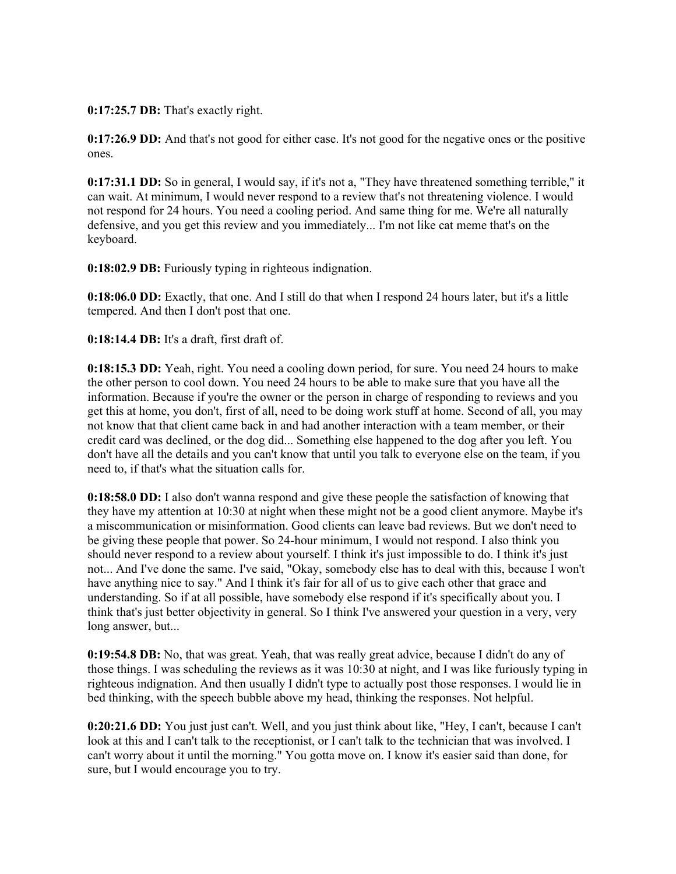**0:17:25.7 DB:** That's exactly right.

**0:17:26.9 DD:** And that's not good for either case. It's not good for the negative ones or the positive ones.

**0:17:31.1 DD:** So in general, I would say, if it's not a, "They have threatened something terrible," it can wait. At minimum, I would never respond to a review that's not threatening violence. I would not respond for 24 hours. You need a cooling period. And same thing for me. We're all naturally defensive, and you get this review and you immediately... I'm not like cat meme that's on the keyboard.

**0:18:02.9 DB:** Furiously typing in righteous indignation.

**0:18:06.0 DD:** Exactly, that one. And I still do that when I respond 24 hours later, but it's a little tempered. And then I don't post that one.

**0:18:14.4 DB:** It's a draft, first draft of.

**0:18:15.3 DD:** Yeah, right. You need a cooling down period, for sure. You need 24 hours to make the other person to cool down. You need 24 hours to be able to make sure that you have all the information. Because if you're the owner or the person in charge of responding to reviews and you get this at home, you don't, first of all, need to be doing work stuff at home. Second of all, you may not know that that client came back in and had another interaction with a team member, or their credit card was declined, or the dog did... Something else happened to the dog after you left. You don't have all the details and you can't know that until you talk to everyone else on the team, if you need to, if that's what the situation calls for.

**0:18:58.0 DD:** I also don't wanna respond and give these people the satisfaction of knowing that they have my attention at 10:30 at night when these might not be a good client anymore. Maybe it's a miscommunication or misinformation. Good clients can leave bad reviews. But we don't need to be giving these people that power. So 24-hour minimum, I would not respond. I also think you should never respond to a review about yourself. I think it's just impossible to do. I think it's just not... And I've done the same. I've said, "Okay, somebody else has to deal with this, because I won't have anything nice to say." And I think it's fair for all of us to give each other that grace and understanding. So if at all possible, have somebody else respond if it's specifically about you. I think that's just better objectivity in general. So I think I've answered your question in a very, very long answer, but...

**0:19:54.8 DB:** No, that was great. Yeah, that was really great advice, because I didn't do any of those things. I was scheduling the reviews as it was 10:30 at night, and I was like furiously typing in righteous indignation. And then usually I didn't type to actually post those responses. I would lie in bed thinking, with the speech bubble above my head, thinking the responses. Not helpful.

**0:20:21.6 DD:** You just just can't. Well, and you just think about like, "Hey, I can't, because I can't look at this and I can't talk to the receptionist, or I can't talk to the technician that was involved. I can't worry about it until the morning." You gotta move on. I know it's easier said than done, for sure, but I would encourage you to try.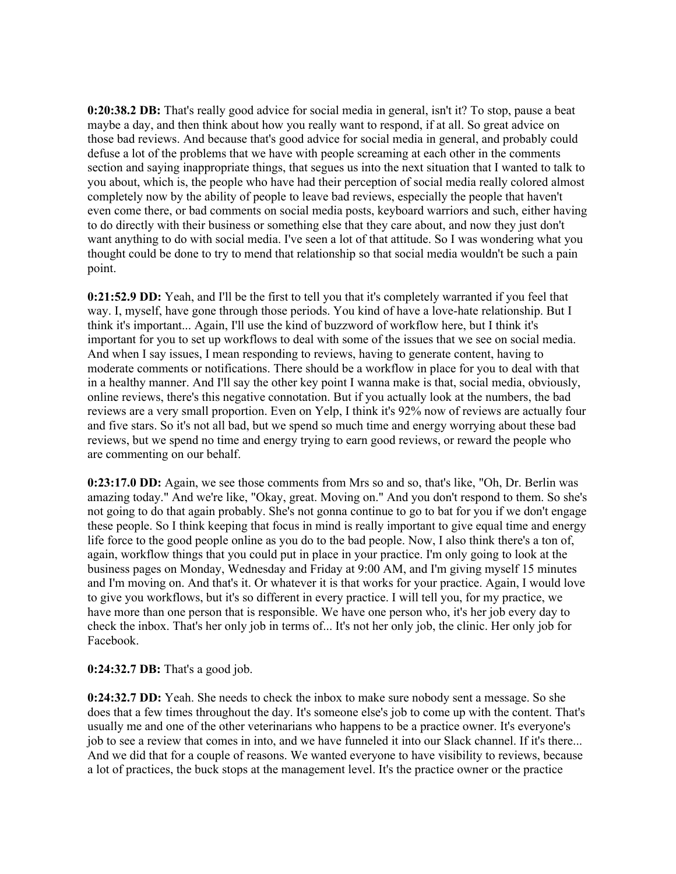**0:20:38.2 DB:** That's really good advice for social media in general, isn't it? To stop, pause a beat maybe a day, and then think about how you really want to respond, if at all. So great advice on those bad reviews. And because that's good advice for social media in general, and probably could defuse a lot of the problems that we have with people screaming at each other in the comments section and saying inappropriate things, that segues us into the next situation that I wanted to talk to you about, which is, the people who have had their perception of social media really colored almost completely now by the ability of people to leave bad reviews, especially the people that haven't even come there, or bad comments on social media posts, keyboard warriors and such, either having to do directly with their business or something else that they care about, and now they just don't want anything to do with social media. I've seen a lot of that attitude. So I was wondering what you thought could be done to try to mend that relationship so that social media wouldn't be such a pain point.

**0:21:52.9 DD:** Yeah, and I'll be the first to tell you that it's completely warranted if you feel that way. I, myself, have gone through those periods. You kind of have a love-hate relationship. But I think it's important... Again, I'll use the kind of buzzword of workflow here, but I think it's important for you to set up workflows to deal with some of the issues that we see on social media. And when I say issues, I mean responding to reviews, having to generate content, having to moderate comments or notifications. There should be a workflow in place for you to deal with that in a healthy manner. And I'll say the other key point I wanna make is that, social media, obviously, online reviews, there's this negative connotation. But if you actually look at the numbers, the bad reviews are a very small proportion. Even on Yelp, I think it's 92% now of reviews are actually four and five stars. So it's not all bad, but we spend so much time and energy worrying about these bad reviews, but we spend no time and energy trying to earn good reviews, or reward the people who are commenting on our behalf.

**0:23:17.0 DD:** Again, we see those comments from Mrs so and so, that's like, "Oh, Dr. Berlin was amazing today." And we're like, "Okay, great. Moving on." And you don't respond to them. So she's not going to do that again probably. She's not gonna continue to go to bat for you if we don't engage these people. So I think keeping that focus in mind is really important to give equal time and energy life force to the good people online as you do to the bad people. Now, I also think there's a ton of, again, workflow things that you could put in place in your practice. I'm only going to look at the business pages on Monday, Wednesday and Friday at 9:00 AM, and I'm giving myself 15 minutes and I'm moving on. And that's it. Or whatever it is that works for your practice. Again, I would love to give you workflows, but it's so different in every practice. I will tell you, for my practice, we have more than one person that is responsible. We have one person who, it's her job every day to check the inbox. That's her only job in terms of... It's not her only job, the clinic. Her only job for Facebook.

**0:24:32.7 DB:** That's a good job.

**0:24:32.7 DD:** Yeah. She needs to check the inbox to make sure nobody sent a message. So she does that a few times throughout the day. It's someone else's job to come up with the content. That's usually me and one of the other veterinarians who happens to be a practice owner. It's everyone's job to see a review that comes in into, and we have funneled it into our Slack channel. If it's there... And we did that for a couple of reasons. We wanted everyone to have visibility to reviews, because a lot of practices, the buck stops at the management level. It's the practice owner or the practice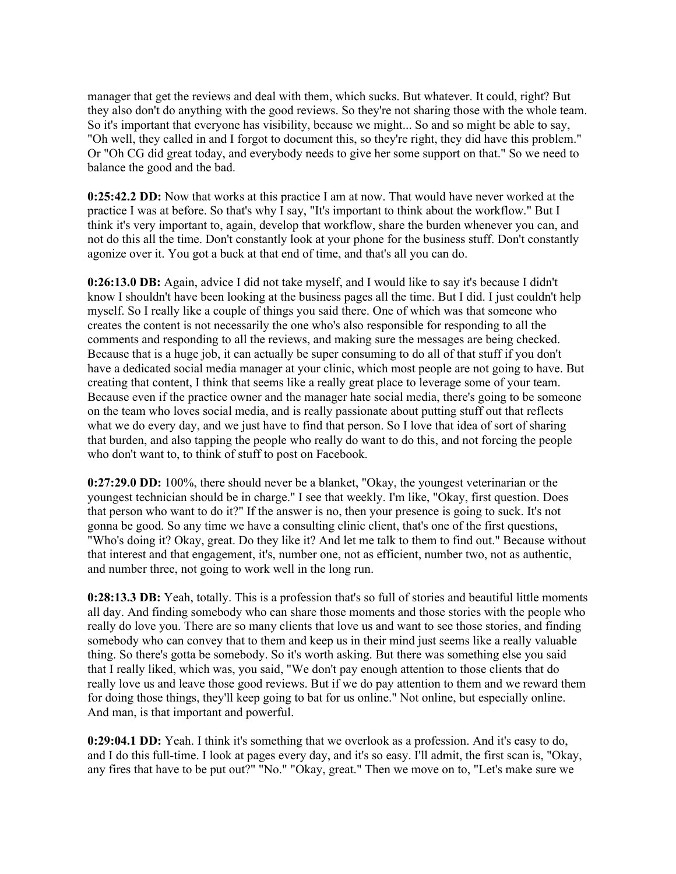manager that get the reviews and deal with them, which sucks. But whatever. It could, right? But they also don't do anything with the good reviews. So they're not sharing those with the whole team. So it's important that everyone has visibility, because we might... So and so might be able to say, "Oh well, they called in and I forgot to document this, so they're right, they did have this problem." Or "Oh CG did great today, and everybody needs to give her some support on that." So we need to balance the good and the bad.

**0:25:42.2 DD:** Now that works at this practice I am at now. That would have never worked at the practice I was at before. So that's why I say, "It's important to think about the workflow." But I think it's very important to, again, develop that workflow, share the burden whenever you can, and not do this all the time. Don't constantly look at your phone for the business stuff. Don't constantly agonize over it. You got a buck at that end of time, and that's all you can do.

**0:26:13.0 DB:** Again, advice I did not take myself, and I would like to say it's because I didn't know I shouldn't have been looking at the business pages all the time. But I did. I just couldn't help myself. So I really like a couple of things you said there. One of which was that someone who creates the content is not necessarily the one who's also responsible for responding to all the comments and responding to all the reviews, and making sure the messages are being checked. Because that is a huge job, it can actually be super consuming to do all of that stuff if you don't have a dedicated social media manager at your clinic, which most people are not going to have. But creating that content, I think that seems like a really great place to leverage some of your team. Because even if the practice owner and the manager hate social media, there's going to be someone on the team who loves social media, and is really passionate about putting stuff out that reflects what we do every day, and we just have to find that person. So I love that idea of sort of sharing that burden, and also tapping the people who really do want to do this, and not forcing the people who don't want to, to think of stuff to post on Facebook.

**0:27:29.0 DD:** 100%, there should never be a blanket, "Okay, the youngest veterinarian or the youngest technician should be in charge." I see that weekly. I'm like, "Okay, first question. Does that person who want to do it?" If the answer is no, then your presence is going to suck. It's not gonna be good. So any time we have a consulting clinic client, that's one of the first questions, "Who's doing it? Okay, great. Do they like it? And let me talk to them to find out." Because without that interest and that engagement, it's, number one, not as efficient, number two, not as authentic, and number three, not going to work well in the long run.

**0:28:13.3 DB:** Yeah, totally. This is a profession that's so full of stories and beautiful little moments all day. And finding somebody who can share those moments and those stories with the people who really do love you. There are so many clients that love us and want to see those stories, and finding somebody who can convey that to them and keep us in their mind just seems like a really valuable thing. So there's gotta be somebody. So it's worth asking. But there was something else you said that I really liked, which was, you said, "We don't pay enough attention to those clients that do really love us and leave those good reviews. But if we do pay attention to them and we reward them for doing those things, they'll keep going to bat for us online." Not online, but especially online. And man, is that important and powerful.

**0:29:04.1 DD:** Yeah. I think it's something that we overlook as a profession. And it's easy to do, and I do this full-time. I look at pages every day, and it's so easy. I'll admit, the first scan is, "Okay, any fires that have to be put out?" "No." "Okay, great." Then we move on to, "Let's make sure we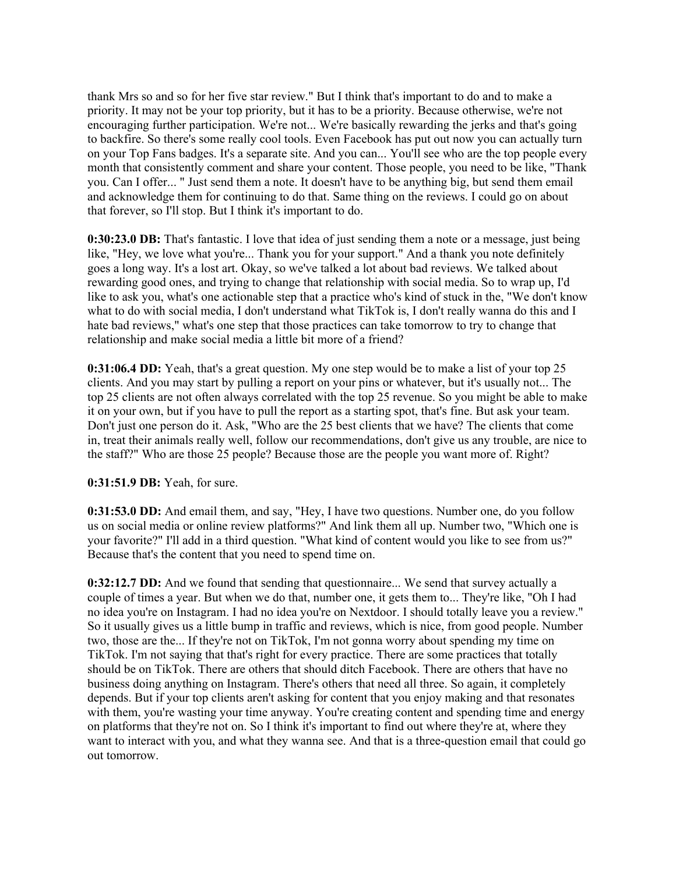thank Mrs so and so for her five star review." But I think that's important to do and to make a priority. It may not be your top priority, but it has to be a priority. Because otherwise, we're not encouraging further participation. We're not... We're basically rewarding the jerks and that's going to backfire. So there's some really cool tools. Even Facebook has put out now you can actually turn on your Top Fans badges. It's a separate site. And you can... You'll see who are the top people every month that consistently comment and share your content. Those people, you need to be like, "Thank you. Can I offer... " Just send them a note. It doesn't have to be anything big, but send them email and acknowledge them for continuing to do that. Same thing on the reviews. I could go on about that forever, so I'll stop. But I think it's important to do.

**0:30:23.0 DB:** That's fantastic. I love that idea of just sending them a note or a message, just being like, "Hey, we love what you're... Thank you for your support." And a thank you note definitely goes a long way. It's a lost art. Okay, so we've talked a lot about bad reviews. We talked about rewarding good ones, and trying to change that relationship with social media. So to wrap up, I'd like to ask you, what's one actionable step that a practice who's kind of stuck in the, "We don't know what to do with social media, I don't understand what TikTok is, I don't really wanna do this and I hate bad reviews," what's one step that those practices can take tomorrow to try to change that relationship and make social media a little bit more of a friend?

**0:31:06.4 DD:** Yeah, that's a great question. My one step would be to make a list of your top 25 clients. And you may start by pulling a report on your pins or whatever, but it's usually not... The top 25 clients are not often always correlated with the top 25 revenue. So you might be able to make it on your own, but if you have to pull the report as a starting spot, that's fine. But ask your team. Don't just one person do it. Ask, "Who are the 25 best clients that we have? The clients that come in, treat their animals really well, follow our recommendations, don't give us any trouble, are nice to the staff?" Who are those 25 people? Because those are the people you want more of. Right?

## **0:31:51.9 DB:** Yeah, for sure.

**0:31:53.0 DD:** And email them, and say, "Hey, I have two questions. Number one, do you follow us on social media or online review platforms?" And link them all up. Number two, "Which one is your favorite?" I'll add in a third question. "What kind of content would you like to see from us?" Because that's the content that you need to spend time on.

**0:32:12.7 DD:** And we found that sending that questionnaire... We send that survey actually a couple of times a year. But when we do that, number one, it gets them to... They're like, "Oh I had no idea you're on Instagram. I had no idea you're on Nextdoor. I should totally leave you a review." So it usually gives us a little bump in traffic and reviews, which is nice, from good people. Number two, those are the... If they're not on TikTok, I'm not gonna worry about spending my time on TikTok. I'm not saying that that's right for every practice. There are some practices that totally should be on TikTok. There are others that should ditch Facebook. There are others that have no business doing anything on Instagram. There's others that need all three. So again, it completely depends. But if your top clients aren't asking for content that you enjoy making and that resonates with them, you're wasting your time anyway. You're creating content and spending time and energy on platforms that they're not on. So I think it's important to find out where they're at, where they want to interact with you, and what they wanna see. And that is a three-question email that could go out tomorrow.